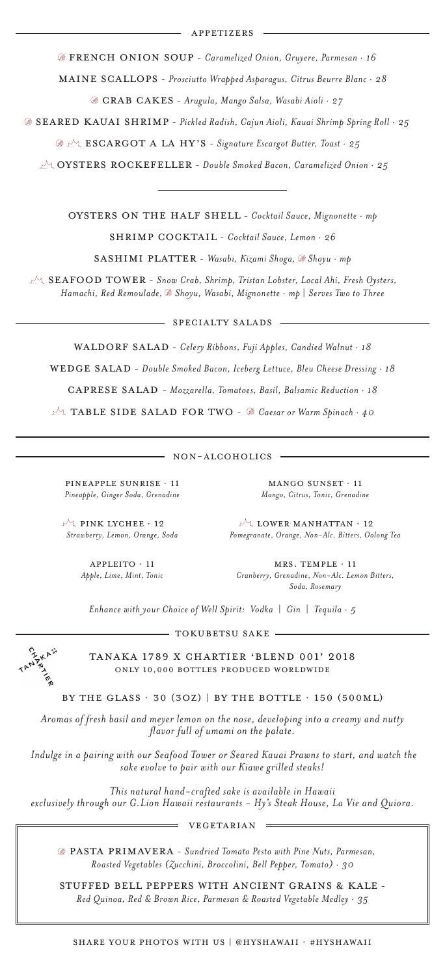mrs. temple · 11 *Cranberry, Grenadine, Non-Alc. Lemon Bitters, Soda, Rosemary* 

MANGO SUNSET · 11 *Mango, Citrus, Tonic, Grenadine*

caprese Salad - *Mozzarella, Tomatoes, Basil, Balsamic Reduction · 18*

 $M_1$  LOWER MANHATTAN  $\cdot$  12 *Pomegranate, Orange, Non-Alc. Bitters, Oolong Tea*

SPECIALTY SALADS

WALDORF SALAD - *Celery Ribbons, Fuji Apples, Candied Walnut · 18* 

WEDGE SALAD - Double Smoked Bacon, Iceberg Lettuce, Bleu Cheese Dressing · 18

 $M_1$  PINK LYCHEE  $\cdot$  12 *Strawberry, Lemon, Orange, Soda*

#### SHARE YOUR PHOTOS WITH US | @HYSHAWAII · #HYSHAWAII

# VEGETARIAN

# NON-ALCOHOLICS

APPLEITO · 11 *Apple, Lime, Mint, Tonic*

PINEAPPLE SUNRISE · 11 *Pineapple, Ginger Soda, Grenadine* 

PASTA Primavera - *Sundried Tomato Pesto with Pine Nuts, Parmesan, Roasted Vegetables (Zucchini, Broccolini, Bell Pepper, Tomato) · 30*

STUFFED BELL PEPPERS WITH ANCIENT GRAINS & KALE - *Red Quinoa, Red & Brown Rice, Parmesan & Roasted Vegetable Medley · 35*

Oysters on the Half Shell - *Cocktail Sauce, Mignonette · mp*

SHRIMP COCKTAIL - *Cocktail Sauce, Lemon · 26* 

Sashimi PLATTER - *Wasabi, Kizami Shoga, Shoyu · mp*

 $\mathbb{P}^{\setminus}$  SEAFOOD TOWER - Snow Crab, Shrimp, Tristan Lobster, Local Ahi, Fresh Oysters, *Hamachi, Red Remoulade, Shoyu, Wasabi, Mignonette · mp | Serves Two to Three*

TOKUBETSU SAKE



ONLY 10,000 BOTTLES PRODUCED WORLDWIDE TANAKA 1789 X CHARTIER 'BLEND 001' 2018

BY THE GLASS  $\cdot$  30 (3OZ) | BY THE BOTTLE  $\cdot$  150 (500ML)

*Aromas of fresh basil and meyer lemon on the nose, developing into a creamy and nutty flavor full of umami on the palate.*

 *Indulge in a pairing with our Seafood Tower or Seared Kauai Prawns to start, and watch the sake evolve to pair with our Kiawe grilled steaks!* 

*This natural hand-crafted sake is available in Hawaii exclusively through our G.Lion Hawaii restaurants - Hy's Steak House, La Vie and Quiora.*

*Enhance with your Choice of Well Spirit: Vodka* | *Gin* | *Tequila · 5*

Oysters Rockefeller - *Double Smoked Bacon, Caramelized Onion · 25*

French Onion Soup - *Caramelized Onion, Gruyere, Parmesan · 16*

MAINE SCALLOPS - Prosciutto Wrapped Asparagus, Citrus Beurre Blanc · 28

Escargot a la Hy's - *Signature Escargot Butter, Toast · 25*

Crab Cakes - *Arugula, Mango Salsa, Wasabi Aioli · 27*

Table Side Salad FOR TWO - *Caesar or Warm Spinach · 40*

Seared Kauai SHRIMP - *Pickled Radish, Cajun Aioli, Kauai Shrimp Spring Roll · 25*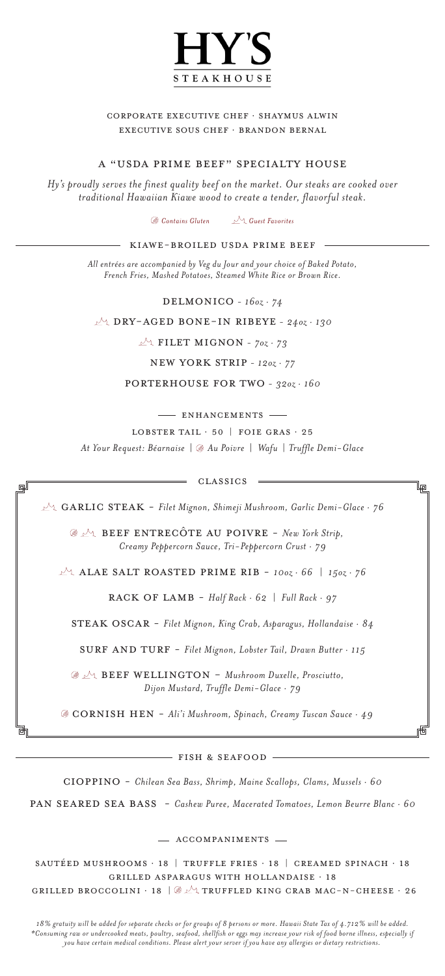

# Corporate Executive Chef · Shaymus Alwin Executive Sous Chef · Brandon Bernal

*At Your Request: Béarnaise | Au Poivre | Wafu | Truffle Demi-Glace*

# A "USDA PRIME BEEF" SPECIALTY HOUSE

Cioppino - *Chilean Sea Bass, Shrimp, Maine Scallops, Clams, Mussels · 60*

PAN SEARED SEA BASS - *Cashew Puree, Macerated Tomatoes, Lemon Beurre Blanc · 60* 

- ACCOMPANIMENTS -

*All entrées are accompanied by Veg du Jour and your choice of Baked Potato, French Fries, Mashed Potatoes, Steamed White Rice or Brown Rice.*

*Hy's proudly serves the finest quality beef on the market. Our steaks are cooked over traditional Hawaiian Kiawe wood to create a tender, flavorful steak.*

Sautéed Mushrooms · 18 | Truffle Fries · 18 | Creamed Spinach · 18 Grilled Asparagus with Hollandaise · 18 GRILLED BROCCOLINI  $\cdot$  18  $\otimes$   $\vee$  Truffled King Crab MAC-N-CHEESE  $\cdot$  26

*18% gratuity will be added for separate checks or for groups of 8 persons or more. Hawaii State Tax of 4.712% will be added. \*Consuming raw or undercooked meats, poultry, seafood, shellfish or eggs may increase your risk of food borne illness, especially if you have certain medical conditions. Please alert your server if you have any allergies or dietary restrictions.* 

Delmonico - *16oz · 74*

New York Strip - *12oz · 77*

Porterhouse FOR TWO - *32oz · 160*

- ENHANCEMENTS -

LOBSTER TAIL  $\cdot$  50 | FOIE GRAS  $\cdot$  25

# KIAWE-BROILED USDA PRIME BEEF

Dry-Aged Bone-In Ribeye - *24oz · 130*

 $\mathbb{R}^4$  FILET MIGNON -  $70z \cdot 73$ 

Rack of Lamb - *Half Rack · 62 | Full Rack · 97*

STEAK OSCAR - Filet Mignon, King Crab, Asparagus, Hollandaise · 84

SURF AND TURF - *Filet Mignon, Lobster Tail, Drawn Butter · 115* 

Cornish Hen - *Ali'i Mushroom, Spinach, Creamy Tuscan Sauce · 49*

CLASSICS

峘

 $\sqrt{2}$  GARLIC STEAK - *Filet Mignon, Shimeji Mushroom, Garlic Demi-Glace · 76* 

Alae Salt Roasted Prime Rib - *10oz · 66 | 15oz · 76*

Beef Entrecôte au Poivre - *New York Strip, Creamy Peppercorn Sauce, Tri-Peppercorn Crust · 79*

*Contains Gluten Guest Favorites*

Beef Wellington - *Mushroom Duxelle, Prosciutto, Dijon Mustard, Truffle Demi-Glace · 79*